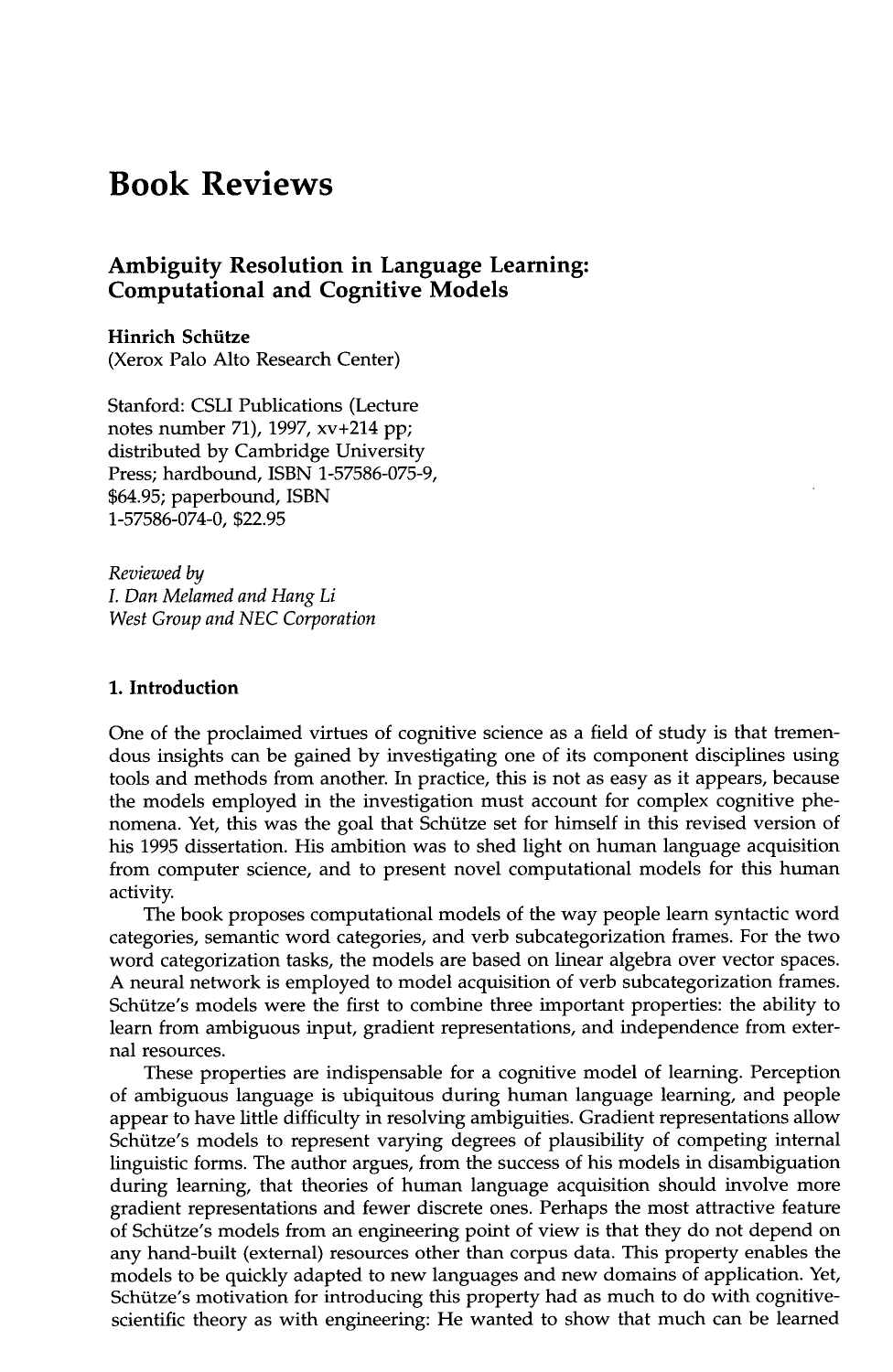# **Book Reviews**

# **Ambiguity Resolution in Language Learning: Computational and Cognitive Models**

**Hinrich Schiitze**  (Xerox Palo Alto Research Center)

Stanford: CSLI Publications (Lecture notes number 71), 1997, xv+214 pp; distributed by Cambridge University Press; hardbound, ISBN 1-57586-075-9, \$64.95; paperbound, ISBN 1-57586-074-0, \$22.95

*Reviewed by I. Dan Melamed and Hang Li West Group and NEC Corporation* 

#### **1. Introduction**

One of the proclaimed virtues of cognitive science as a field of study is that tremendous insights can be gained by investigating one of its component disciplines using tools and methods from another. In practice, this is not as easy as it appears, because the models employed in the investigation must account for complex cognitive phenomena. Yet, this was the goal that Schütze set for himself in this revised version of his 1995 dissertation. His ambition was to shed light on human language acquisition from computer science, and to present novel computational models for this human activity.

The book proposes computational models of the way people learn syntactic word categories, semantic word categories, and verb subcategorization frames. For the two word categorization tasks, the models are based on linear algebra over vector spaces. A neural network is employed to model acquisition of verb subcategorization frames. Schütze's models were the first to combine three important properties: the ability to learn from ambiguous input, gradient representations, and independence from external resources.

These properties are indispensable for a cognitive model of learning. Perception of ambiguous language is ubiquitous during human language learning, and people appear to have little difficulty in resolving ambiguities. Gradient representations allow Schtitze's models to represent varying degrees of plausibility of competing internal linguistic forms. The author argues, from the success of his models in disambiguation during learning, that theories of human language acquisition should involve more gradient representations and fewer discrete ones. Perhaps the most attractive feature of Schütze's models from an engineering point of view is that they do not depend on any hand-built (external) resources other than corpus data. This property enables the models to be quickly adapted to new languages and new domains of application. Yet, Schtitze's motivation for introducing this property had as much to do with cognitivescientific theory as with engineering: He wanted to show that much can be learned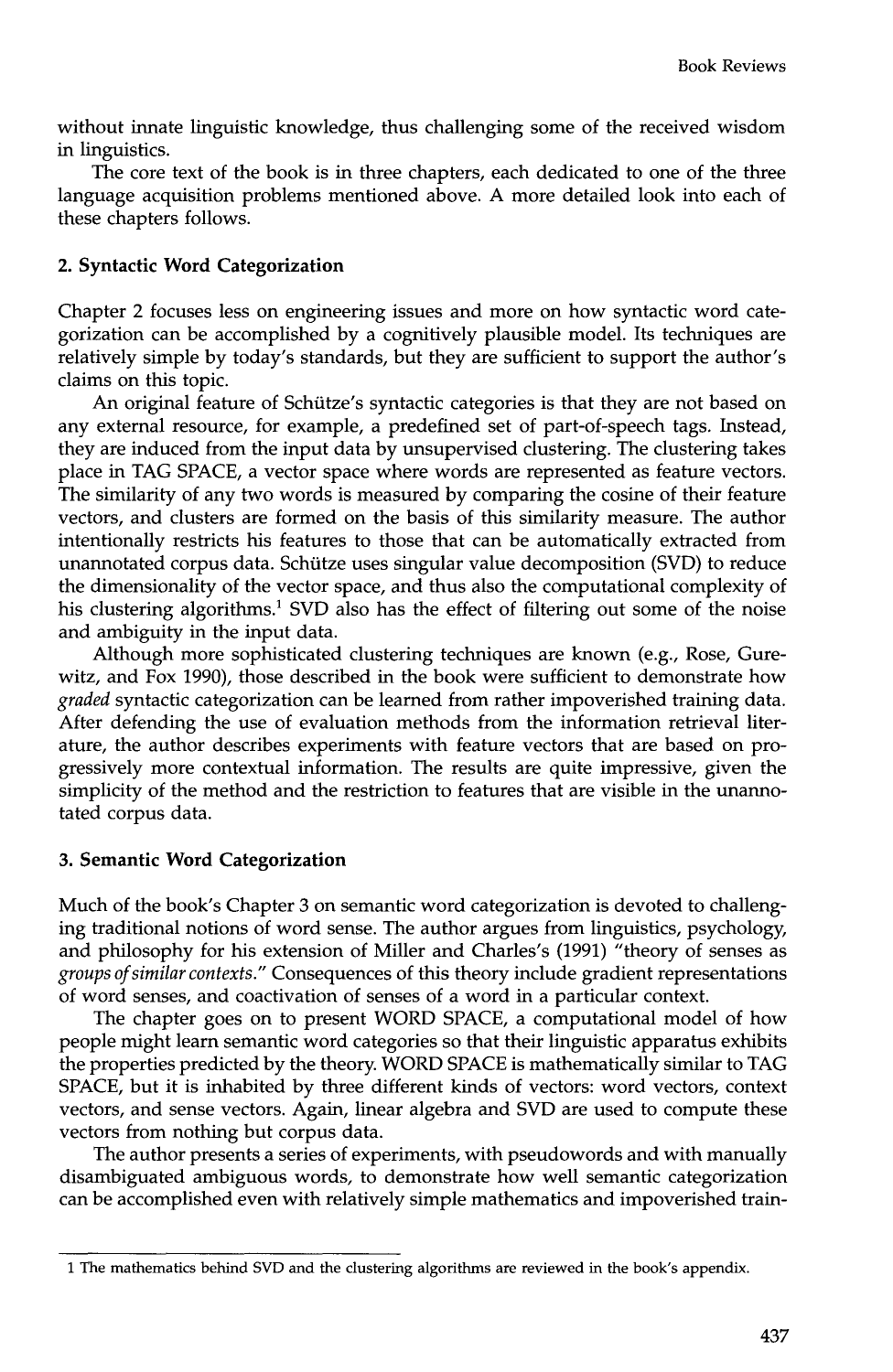without innate linguistic knowledge, thus challenging some of the received wisdom in linguistics.

The core text of the book is in three chapters, each dedicated to one of the three language acquisition problems mentioned above. A more detailed look into each of these chapters follows.

## **2. Syntactic Word Categorization**

Chapter 2 focuses less on engineering issues and more on how syntactic word categorization can be accomplished by a cognitively plausible model. Its techniques are relatively simple by today's standards, but they are sufficient to support the author's claims on this topic.

An original feature of Schütze's syntactic categories is that they are not based on any external resource, for example, a predefined set of part-of-speech tags. Instead, they are induced from the input data by unsupervised clustering. The clustering takes place in TAG SPACE, a vector space where words are represented as feature vectors. The similarity of any two words is measured by comparing the cosine of their feature vectors, and clusters are formed on the basis of this similarity measure. The author intentionally restricts his features to those that can be automatically extracted from unannotated corpus data. Schiitze uses singular value decomposition (SVD) to reduce the dimensionality of the vector space, and thus also the computational complexity of his clustering algorithms.<sup>1</sup> SVD also has the effect of filtering out some of the noise and ambiguity in the input data.

Although more sophisticated clustering techniques are known (e.g., Rose, Gurewitz, and Fox 1990), those described in the book were sufficient to demonstrate how *graded* syntactic categorization can be learned from rather impoverished training data. After defending the use of evaluation methods from the information retrieval literature, the author describes experiments with feature vectors that are based on progressively more contextual information. The results are quite impressive, given the simplicity of the method and the restriction to features that are visible in the unannotated corpus data.

### **3. Semantic Word Categorization**

Much of the book's Chapter 3 on semantic word categorization is devoted to challenging traditional notions of word sense. The author argues from linguistics, psychology, and philosophy for his extension of Miller and Charles's (1991) "theory of senses as *groups of similar contexts."* Consequences of this theory include gradient representations of word senses, and coactivation of senses of a word in a particular context.

The chapter goes on to present WORD SPACE, a computational model of how people might learn semantic word categories so that their linguistic apparatus exhibits the properties predicted by the theory. WORD SPACE is mathematically similar to TAG SPACE, but it is inhabited by three different kinds of vectors: word vectors, context vectors, and sense vectors. Again, linear algebra and SVD are used to compute these vectors from nothing but corpus data.

The author presents a series of experiments, with pseudowords and with manually disambiguated ambiguous words, to demonstrate how well semantic categorization can be accomplished even with relatively simple mathematics and impoverished train-

<sup>1</sup> The mathematics behind SVD and the clustering algorithms are reviewed in the book's appendix.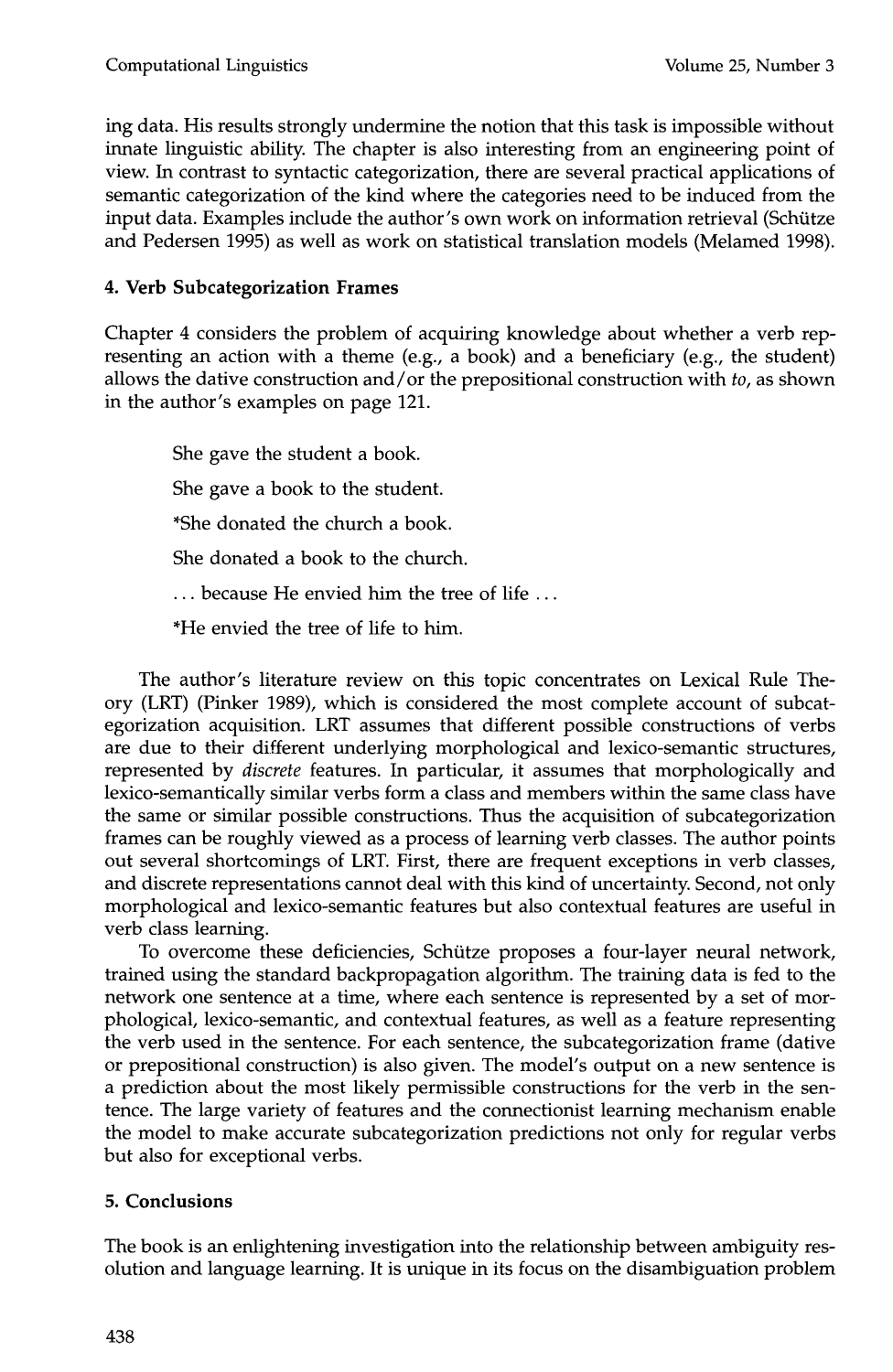ing data. His results strongly undermine the notion that this task is impossible without innate linguistic ability. The chapter is also interesting from an engineering point of view. In contrast to syntactic categorization, there are several practical applications of semantic categorization of the kind where the categories need to be induced from the input data. Examples include the author's own work on information retrieval (Schütze and Pedersen 1995) as well as work on statistical translation models (Melamed 1998).

# **4. Verb Subcategorization Frames**

Chapter 4 considers the problem of acquiring knowledge about whether a verb representing an action with a theme (e.g., a book) and a beneficiary (e.g., the student) allows the dative construction and/or the prepositional construction with *to,* as shown in the author's examples on page 121.

She gave the student a book. She gave a book to the student. \*She donated the church a book. She donated a book to the church. ... because He envied him the tree of life ... \*He envied the tree of life to him.

The author's literature review on this topic concentrates on Lexical Rule Theory (LRT) (Pinker 1989), which is considered the most complete account of subcategorization acquisition. LRT assumes that different possible constructions of verbs are due to their different underlying morphological and lexico-semantic structures, represented by *discrete* features. In particular, it assumes that morphologically and lexico-semantically similar verbs form a class and members within the same class have the same or similar possible constructions. Thus the acquisition of subcategorization frames can be roughly viewed as a process of learning verb classes. The author points out several shortcomings of LRT. First, there are frequent exceptions in verb classes, and discrete representations cannot deal with this kind of uncertainty. Second, not only morphological and lexico-semantic features but also contextual features are useful in verb class learning.

To overcome these deficiencies, Schütze proposes a four-layer neural network, trained using the standard backpropagation algorithm. The training data is fed to the network one sentence at a time, where each sentence is represented by a set of morphological, lexico-semantic, and contextual features, as well as a feature representing the verb used in the sentence. For each sentence, the subcategorization frame (dative or prepositional construction) is also given. The model's output on a new sentence is a prediction about the most likely permissible constructions for the verb in the sentence. The large variety of features and the connectionist learning mechanism enable the model to make accurate subcategorization predictions not only for regular verbs but also for exceptional verbs.

# **5. Conclusions**

The book is an enlightening investigation into the relationship between ambiguity resolution and language learning. It is unique in its focus on the disambiguation problem